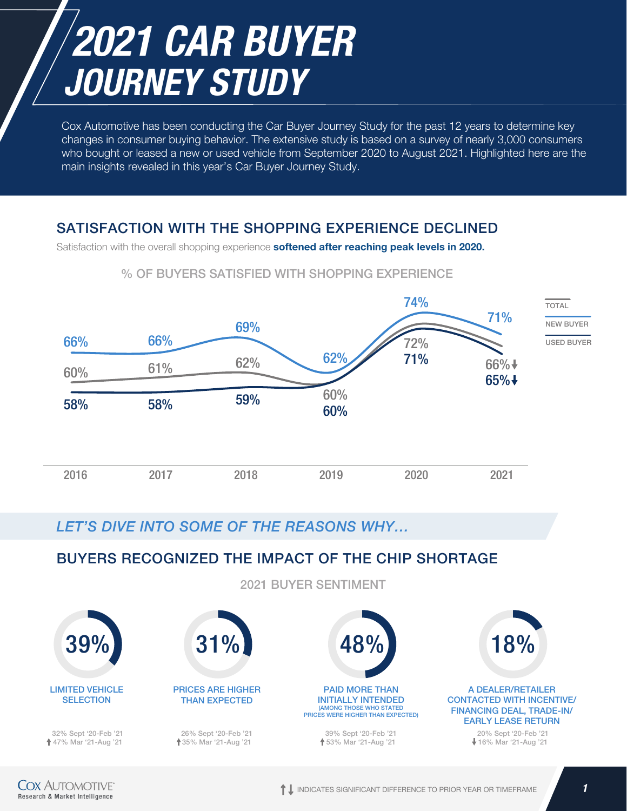# *2021 CAR BUYER JOURNEY STUDY*

Cox Automotive has been conducting the Car Buyer Journey Study for the past 12 years to determine key changes in consumer buying behavior. The extensive study is based on a survey of nearly 3,000 consumers who bought or leased a new or used vehicle from September 2020 to August 2021. Highlighted here are the main insights revealed in this year's Car Buyer Journey Study.

### SATISFACTION WITH THE SHOPPING EXPERIENCE DECLINED

Satisfaction with the overall shopping experience softened after reaching peak levels in 2020.



#### % OF BUYERS SATISFIED WITH SHOPPING EXPERIENCE

### *LET'S DIVE INTO SOME OF THE REASONS WHY…*

### BUYERS RECOGNIZED THE IMPACT OF THE CHIP SHORTAGE

2021 BUYER SENTIMENT

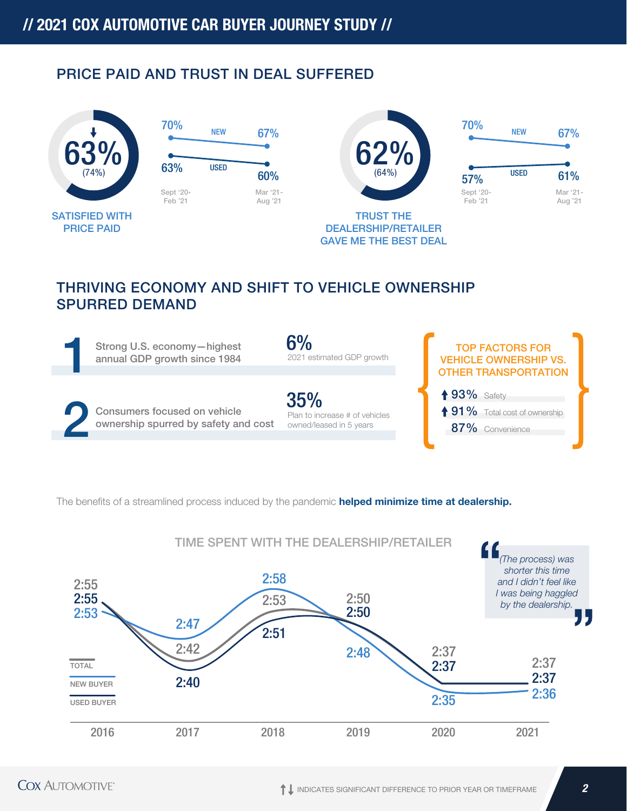### PRICE PAID AND TRUST IN DEAL SUFFERED









DEALERSHIP/RETAILER GAVE ME THE BEST DEAL

# THRIVING ECONOMY AND SHIFT TO VEHICLE OWNERSHIP SPURRED DEMAND



The benefits of a streamlined process induced by the pandemic **helped minimize time at dealership.** 

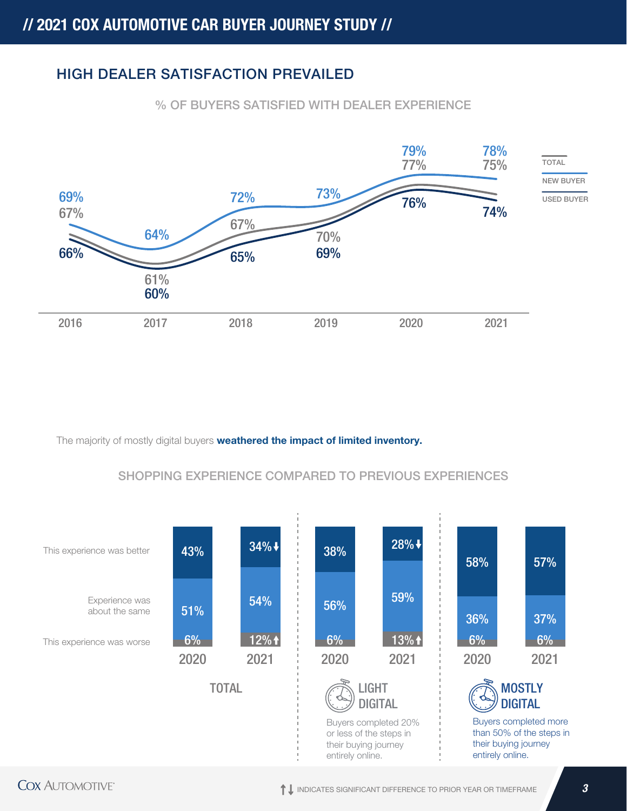### HIGH DEALER SATISFACTION PREVAILED

% OF BUYERS SATISFIED WITH DEALER EXPERIENCE



The majority of mostly digital buyers **weathered the impact of limited inventory.** 

### SHOPPING EXPERIENCE COMPARED TO PREVIOUS EXPERIENCES

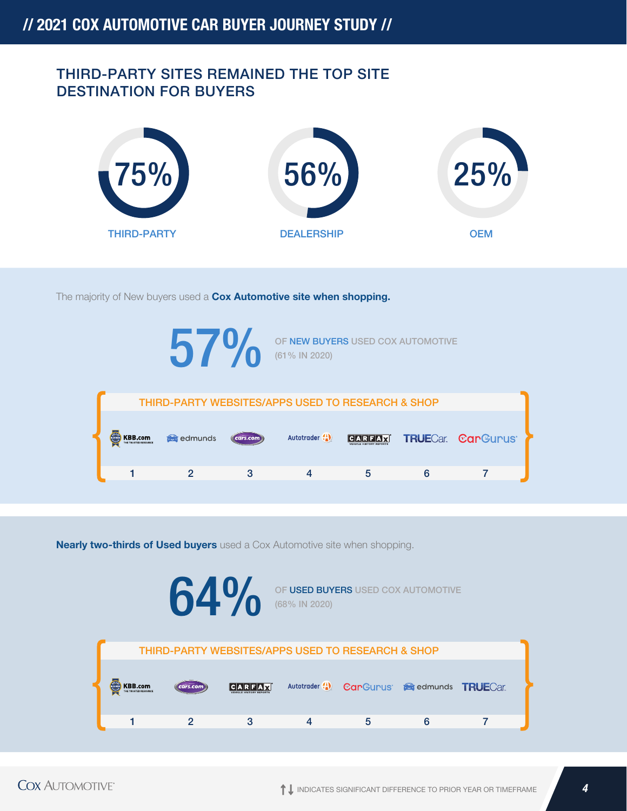### THIRD-PARTY SITES REMAINED THE TOP SITE DESTINATION FOR BUYERS



The majority of New buyers used a **Cox Automotive site when shopping.** 



**Nearly two-thirds of Used buyers** used a Cox Automotive site when shopping.

**64 O** OF USED BUYERS USED COX AUTOMOTIVE (68% IN 2020) THIRD-PARTY WEBSITES/APPS USED TO RESEARCH & SHOP **KBB.com CARFAX** Autotrader (1) CarGurus Geredmunds TRUECar. 1 2 3 4 5 6 7